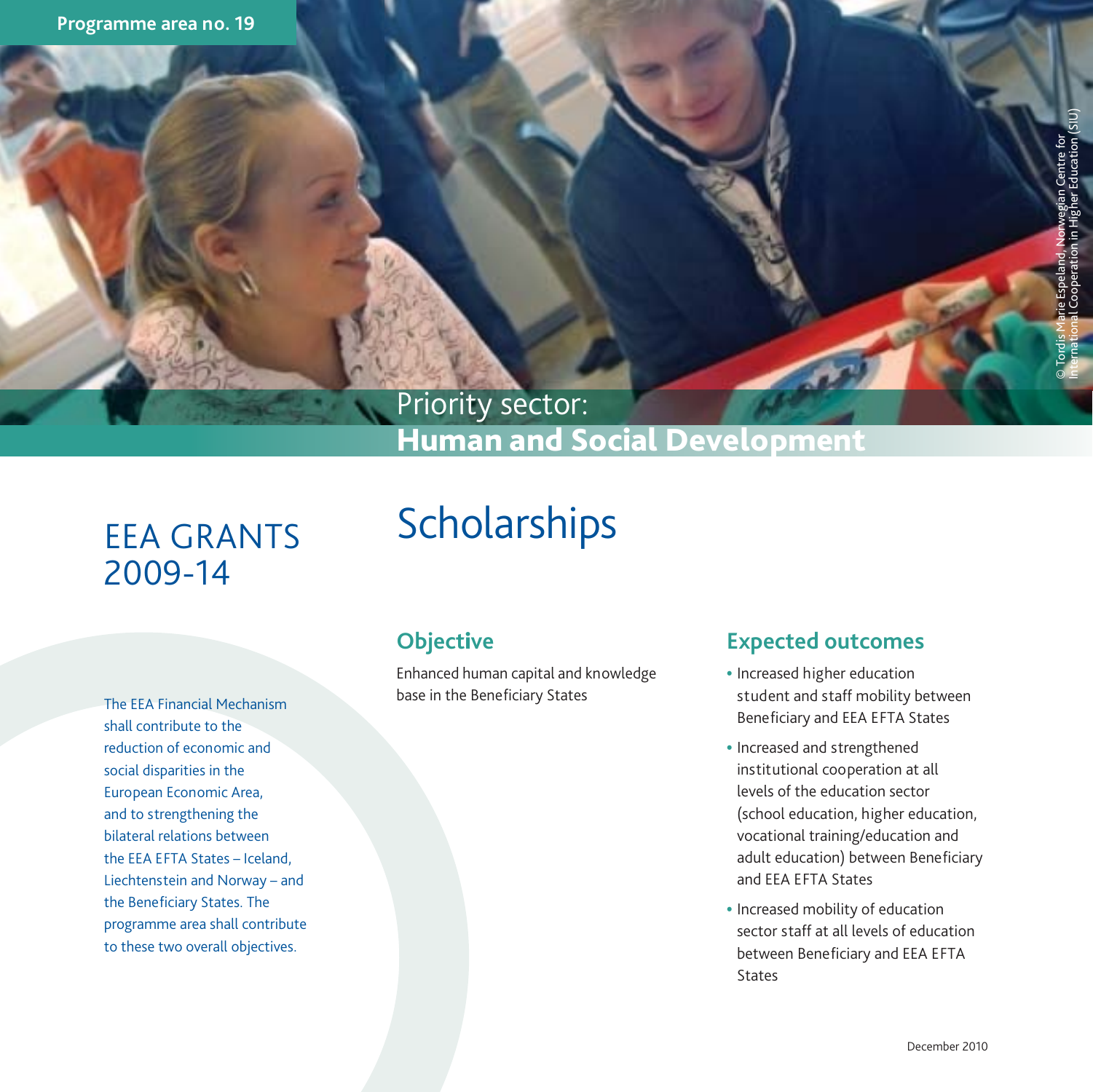## Priority sector: Human and Social Development

## EEA GRANTS 2009-14

The EEA Financial Mechanism shall contribute to the reduction of economic and social disparities in the European Economic Area, and to strengthening the bilateral relations between the EEA EFTA States – Iceland, Liechtenstein and Norway – and the Beneficiary States. The programme area shall contribute to these two overall objectives.

# **Scholarships**

### **Object**i**ve**

Enhanced human capital and knowledge base in the Beneficiary States

#### **Expected outcomes**

- Increased higher education student and staff mobility between Beneficiary and EEA EFTA States
- Increased and strengthened institutional cooperation at all levels of the education sector (school education, higher education, vocational training/education and adult education) between Beneficiary and EEA EFTA States
- Increased mobility of education sector staff at all levels of education between Beneficiary and EEA EFTA States

© Tordis Marie Espeland, Norwegian Centre for<br>International Cooperation in Higher Education (SIU)